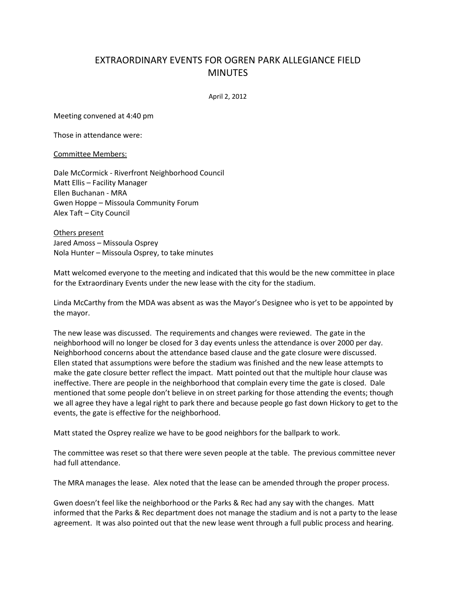## EXTRAORDINARY EVENTS FOR OGREN PARK ALLEGIANCE FIELD **MINUTES**

April 2, 2012

Meeting convened at 4:40 pm

Those in attendance were:

Committee Members:

Dale McCormick - Riverfront Neighborhood Council Matt Ellis – Facility Manager Ellen Buchanan - MRA Gwen Hoppe – Missoula Community Forum Alex Taft – City Council

Others present Jared Amoss – Missoula Osprey Nola Hunter – Missoula Osprey, to take minutes

Matt welcomed everyone to the meeting and indicated that this would be the new committee in place for the Extraordinary Events under the new lease with the city for the stadium.

Linda McCarthy from the MDA was absent as was the Mayor's Designee who is yet to be appointed by the mayor.

The new lease was discussed. The requirements and changes were reviewed. The gate in the neighborhood will no longer be closed for 3 day events unless the attendance is over 2000 per day. Neighborhood concerns about the attendance based clause and the gate closure were discussed. Ellen stated that assumptions were before the stadium was finished and the new lease attempts to make the gate closure better reflect the impact. Matt pointed out that the multiple hour clause was ineffective. There are people in the neighborhood that complain every time the gate is closed. Dale mentioned that some people don't believe in on street parking for those attending the events; though we all agree they have a legal right to park there and because people go fast down Hickory to get to the events, the gate is effective for the neighborhood.

Matt stated the Osprey realize we have to be good neighbors for the ballpark to work.

The committee was reset so that there were seven people at the table. The previous committee never had full attendance.

The MRA manages the lease. Alex noted that the lease can be amended through the proper process.

Gwen doesn't feel like the neighborhood or the Parks & Rec had any say with the changes. Matt informed that the Parks & Rec department does not manage the stadium and is not a party to the lease agreement. It was also pointed out that the new lease went through a full public process and hearing.